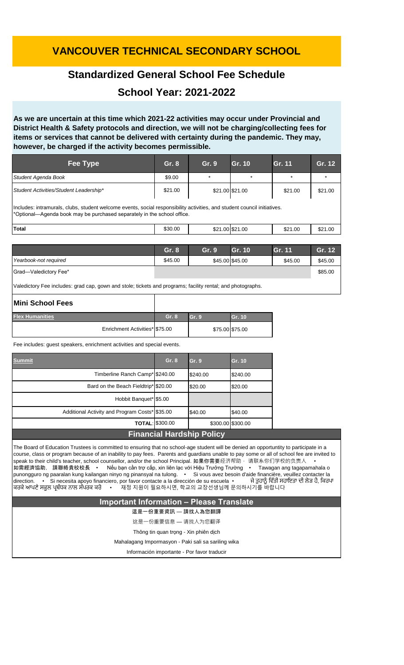## **VANCOUVER TECHNICAL SECONDARY SCHOOL**

### **Standardized General School Fee Schedule**

### **School Year: 2021-2022**

**As we are uncertain at this time which 2021-22 activities may occur under Provincial and District Health & Safety protocols and direction, we will not be charging/collecting fees for items or services that cannot be delivered with certainty during the pandemic. They may, however, be charged if the activity becomes permissible.**

| Fee Type                                                                                                                                                                                            | Gr. 8   | Gr. 9 | Gr. 10          | Gr. 11  | Gr. 12  |  |  |
|-----------------------------------------------------------------------------------------------------------------------------------------------------------------------------------------------------|---------|-------|-----------------|---------|---------|--|--|
| Student Agenda Book                                                                                                                                                                                 | \$9.00  |       | $\ast$          | $\star$ |         |  |  |
| Student Activities/Student Leadership*                                                                                                                                                              | \$21.00 |       | \$21.00 \$21.00 | \$21.00 | \$21.00 |  |  |
| Includes: intramurals, clubs, student welcome events, social responsibility activities, and student council initiatives.<br>*Optional—Agenda book may be purchased separately in the school office. |         |       |                 |         |         |  |  |
| <b>Total</b>                                                                                                                                                                                        | \$30.00 |       | \$21.00 \$21.00 | \$21.00 | \$21.00 |  |  |

|                       | Gr. 8   | Gr. 9                                                                                                                                                                                                                               | Gr. 10 | <b>Gr. 11</b> | Gr. 12  |
|-----------------------|---------|-------------------------------------------------------------------------------------------------------------------------------------------------------------------------------------------------------------------------------------|--------|---------------|---------|
| Yearbook-not required | \$45.00 | \$45.00 \$45.00                                                                                                                                                                                                                     |        | \$45.00       | \$45.00 |
| Grad-Valedictory Fee* |         |                                                                                                                                                                                                                                     |        |               | \$85.00 |
| .<br>.<br>_ _ _       |         | $\overline{a}$ , and a set of the set of the set of the set of the set of the set of the set of the set of the set of the set of the set of the set of the set of the set of the set of the set of the set of the set of the set of |        |               |         |

Valedictory Fee includes: grad cap, gown and stole; tickets and programs; facility rental; and photographs.

| Mini School Fees               |       |                 |        |
|--------------------------------|-------|-----------------|--------|
| <b>Flex Humanities</b>         | Gr. 8 | Gr.9            | Gr. 10 |
| Enrichment Activities* \$75.00 |       | \$75.00 \$75.00 |        |

Fee includes: guest speakers, enrichment activities and special events.

| <b>Summit</b>                                                                                                                                                                                                                                                                                                                                                                                                                                                                                                                                                                                                                                                                                                                                                                                                                                      | Gr. 8                  | Gr. 9    | Gr. 10            |                                          |  |
|----------------------------------------------------------------------------------------------------------------------------------------------------------------------------------------------------------------------------------------------------------------------------------------------------------------------------------------------------------------------------------------------------------------------------------------------------------------------------------------------------------------------------------------------------------------------------------------------------------------------------------------------------------------------------------------------------------------------------------------------------------------------------------------------------------------------------------------------------|------------------------|----------|-------------------|------------------------------------------|--|
| Timberline Ranch Camp* \$240.00                                                                                                                                                                                                                                                                                                                                                                                                                                                                                                                                                                                                                                                                                                                                                                                                                    |                        | \$240.00 | \$240.00          |                                          |  |
| Bard on the Beach Fieldtrip* \$20.00                                                                                                                                                                                                                                                                                                                                                                                                                                                                                                                                                                                                                                                                                                                                                                                                               |                        | \$20.00  | \$20.00           |                                          |  |
| Hobbit Banquet* \$5.00                                                                                                                                                                                                                                                                                                                                                                                                                                                                                                                                                                                                                                                                                                                                                                                                                             |                        |          |                   |                                          |  |
| Additional Activity and Program Costs* \$35.00                                                                                                                                                                                                                                                                                                                                                                                                                                                                                                                                                                                                                                                                                                                                                                                                     |                        | \$40.00  | \$40.00           |                                          |  |
|                                                                                                                                                                                                                                                                                                                                                                                                                                                                                                                                                                                                                                                                                                                                                                                                                                                    | <b>TOTAL: \$300.00</b> |          | \$300.00 \$300.00 |                                          |  |
| <b>Financial Hardship Policy</b>                                                                                                                                                                                                                                                                                                                                                                                                                                                                                                                                                                                                                                                                                                                                                                                                                   |                        |          |                   |                                          |  |
| The Board of Education Trustees is committed to ensuring that no school-age student will be denied an opportuntity to participate in a<br>course, class or program because of an inability to pay fees. Parents and guardians unable to pay some or all of school fee are invited to<br>【speak to their child's teacher, school counsellor, and/or the school Principal. 如果你需要经济帮助 ・请联系你们学校的负责人      •<br>┃如需經濟協助, 請聯絡貴校校長  •  Nếu bạn cần trợ cấp, xin liên lạc với Hiệu Trưởng Trường  •  Tawagan ang tagapamahala o<br>punongguro ng paaralan kung kailangan ninyo ng pinansyal na tulong. · Si vous avez besoin d'aide financière, veuillez contacter la<br>direction. • Si necesita apoyo financiero, por favor contacte a la dirección de su escuela •<br>ਕਿਰਕੇ ਆਪਣੇ ਸਕੂਲ ਪਬੰਧਕ ਨਾਲ ਸੰਪਰਕ ਕਰੋ     •     재정 지원이 필요하시면, 학교의 교장선생님께 문의하시기를 바랍니다 |                        |          |                   | ਜੇ ਤੁਹਾਨੂੰ ਵਿੱਤੀ ਸਹਾਇਤਾ ਦੀ ਲੋੜ ਹੈ, ਕਿਰਪਾ |  |

#### **Important Information – Please Translate**

這是一份重要資訊 — 請找人為您翻譯

这是一份重要信息 — 请找人为您翻译

Thông tin quan trọng - Xin phiên dịch

Mahalagang Impormasyon - Paki sali sa sariling wika

Información importante - Por favor traducir